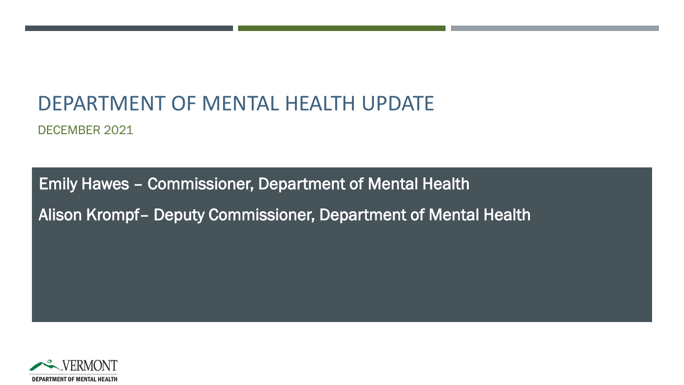## DEPARTMENT OF MENTAL HEALTH UPDATE

DECEMBER 2021

Emily Hawes – Commissioner, Department of Mental Health Alison Krompf– Deputy Commissioner, Department of Mental Health

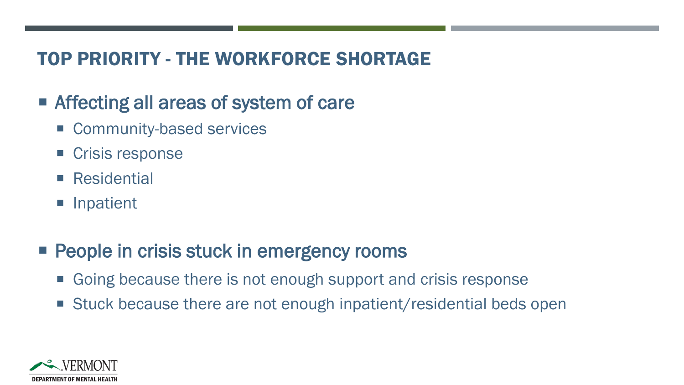#### TOP PRIORITY - THE WORKFORCE SHORTAGE

#### ■ Affecting all areas of system of care

- **Community-based services**
- Crisis response
- Residential
- **Inpatient**

### **People in crisis stuck in emergency rooms**

- Going because there is not enough support and crisis response
- Stuck because there are not enough inpatient/residential beds open

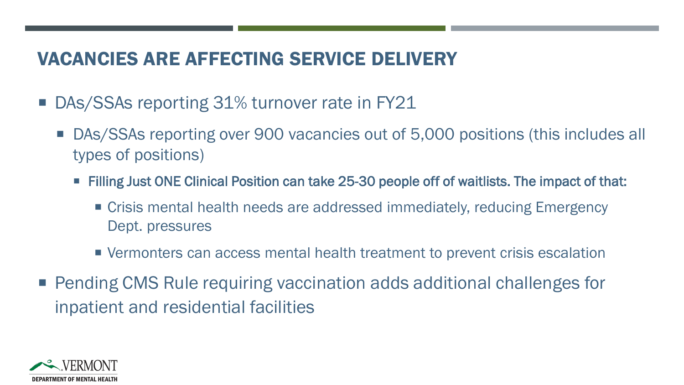#### VACANCIES ARE AFFECTING SERVICE DELIVERY

- DAs/SSAs reporting 31% turnover rate in FY21
	- DAs/SSAs reporting over 900 vacancies out of 5,000 positions (this includes all types of positions)
		- Filling Just ONE Clinical Position can take 25-30 people off of waitlists. The impact of that:
			- Crisis mental health needs are addressed immediately, reducing Emergency Dept. pressures
			- Vermonters can access mental health treatment to prevent crisis escalation
- Pending CMS Rule requiring vaccination adds additional challenges for inpatient and residential facilities

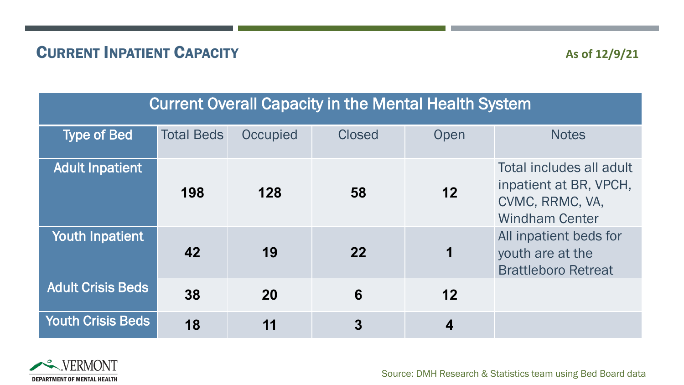#### **CURRENT INPATIENT CAPACITY** As of 12/9/21

#### Current Overall Capacity in the Mental Health System

| <b>Type of Bed</b>       | <b>Total Beds</b> | Occupied | <b>Closed</b> | Open | <b>Notes</b>                                                                                   |
|--------------------------|-------------------|----------|---------------|------|------------------------------------------------------------------------------------------------|
| <b>Adult Inpatient</b>   | 198               | 128      | 58            | 12   | Total includes all adult<br>inpatient at BR, VPCH,<br>CVMC, RRMC, VA,<br><b>Windham Center</b> |
| Youth Inpatient          | 42                | 19       | 22            | 1    | All inpatient beds for<br>youth are at the<br><b>Brattleboro Retreat</b>                       |
| <b>Adult Crisis Beds</b> | 38                | 20       | 6             | 12   |                                                                                                |
| <b>Youth Crisis Beds</b> | 18                | 11       | 3             | 4    |                                                                                                |



Source: DMH Research & Statistics team using Bed Board data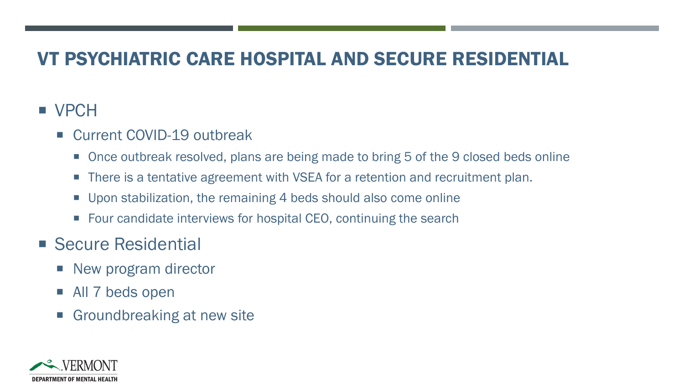#### VT PSYCHIATRIC CARE HOSPITAL AND SECURE RESIDENTIAL

#### **vPCH**

- Current COVID-19 outbreak
	- Once outbreak resolved, plans are being made to bring 5 of the 9 closed beds online
	- There is a tentative agreement with VSEA for a retention and recruitment plan.
	- Upon stabilization, the remaining 4 beds should also come online
	- Four candidate interviews for hospital CEO, continuing the search
- Secure Residential
	- New program director
	- All 7 beds open
	- **Groundbreaking at new site**

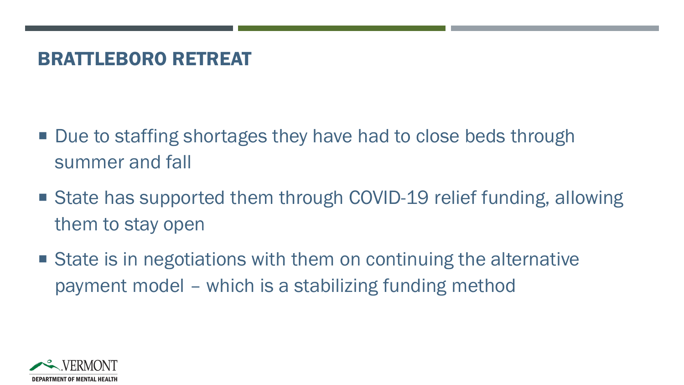#### BRATTLEBORO RETREAT

- Due to staffing shortages they have had to close beds through summer and fall
- State has supported them through COVID-19 relief funding, allowing them to stay open
- State is in negotiations with them on continuing the alternative payment model – which is a stabilizing funding method

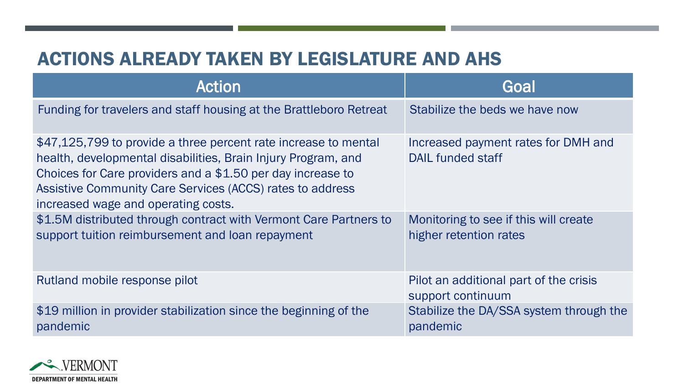#### ACTIONS ALREADY TAKEN BY LEGISLATURE AND AHS

| Action                                                                                                                                                                                                                                                                                              | Goal                                                            |
|-----------------------------------------------------------------------------------------------------------------------------------------------------------------------------------------------------------------------------------------------------------------------------------------------------|-----------------------------------------------------------------|
| Funding for travelers and staff housing at the Brattleboro Retreat                                                                                                                                                                                                                                  | Stabilize the beds we have now                                  |
| \$47,125,799 to provide a three percent rate increase to mental<br>health, developmental disabilities, Brain Injury Program, and<br>Choices for Care providers and a \$1.50 per day increase to<br>Assistive Community Care Services (ACCS) rates to address<br>increased wage and operating costs. | Increased payment rates for DMH and<br>DAIL funded staff        |
| \$1.5M distributed through contract with Vermont Care Partners to<br>support tuition reimbursement and loan repayment                                                                                                                                                                               | Monitoring to see if this will create<br>higher retention rates |
| Rutland mobile response pilot                                                                                                                                                                                                                                                                       | Pilot an additional part of the crisis<br>support continuum     |
| \$19 million in provider stabilization since the beginning of the<br>pandemic                                                                                                                                                                                                                       | Stabilize the DA/SSA system through the<br>pandemic             |

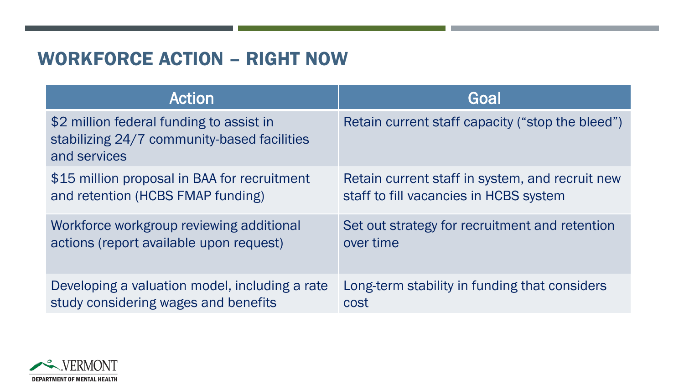#### WORKFORCE ACTION – RIGHT NOW

| <b>Action</b>                                                                                           | Goal                                             |
|---------------------------------------------------------------------------------------------------------|--------------------------------------------------|
| \$2 million federal funding to assist in<br>stabilizing 24/7 community-based facilities<br>and services | Retain current staff capacity ("stop the bleed") |
| \$15 million proposal in BAA for recruitment                                                            | Retain current staff in system, and recruit new  |
| and retention (HCBS FMAP funding)                                                                       | staff to fill vacancies in HCBS system           |
| Workforce workgroup reviewing additional                                                                | Set out strategy for recruitment and retention   |
| actions (report available upon request)                                                                 | over time                                        |
| Developing a valuation model, including a rate                                                          | Long-term stability in funding that considers    |
| study considering wages and benefits                                                                    | cost                                             |

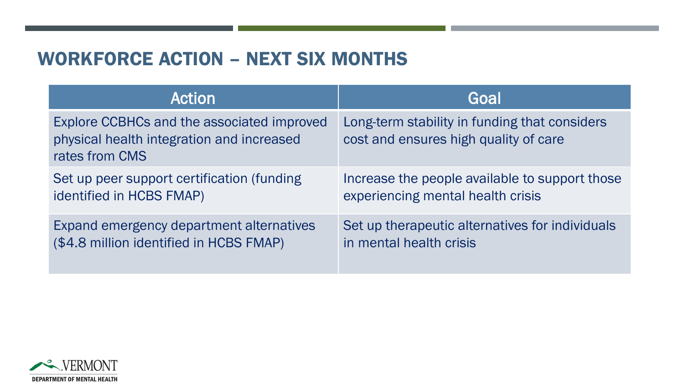#### WORKFORCE ACTION – NEXT SIX MONTHS

| <b>Action</b>                                                                                             | Goal                                                                                   |
|-----------------------------------------------------------------------------------------------------------|----------------------------------------------------------------------------------------|
| Explore CCBHCs and the associated improved<br>physical health integration and increased<br>rates from CMS | Long-term stability in funding that considers<br>cost and ensures high quality of care |
| Set up peer support certification (funding                                                                | Increase the people available to support those                                         |
| identified in HCBS FMAP)                                                                                  | experiencing mental health crisis                                                      |
| Expand emergency department alternatives                                                                  | Set up therapeutic alternatives for individuals                                        |
| (\$4.8 million identified in HCBS FMAP)                                                                   | in mental health crisis                                                                |

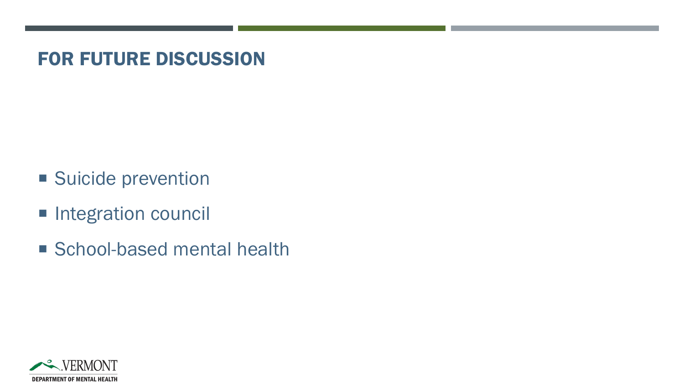#### FOR FUTURE DISCUSSION

- **Suicide prevention**
- **Integration council**
- School-based mental health

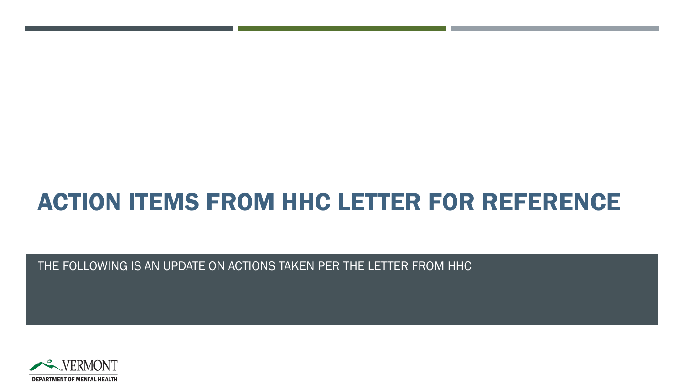# ACTION ITEMS FROM HHC LETTER FOR REFERENCE

THE FOLLOWING IS AN UPDATE ON ACTIONS TAKEN PER THE LETTER FROM HHC

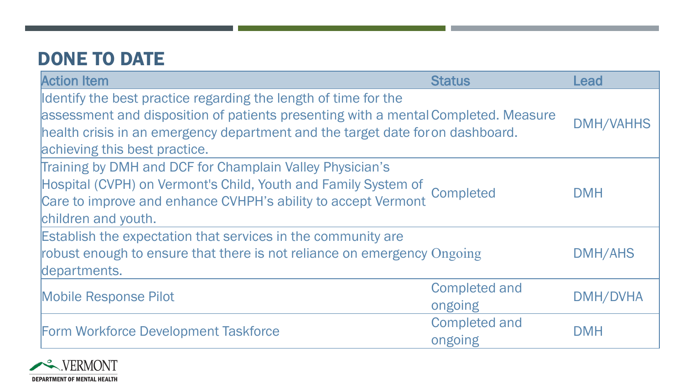### DONE TO DATE

| <b>Action Item</b>                                                                                                                                                                                                                                                       | <b>Status</b>                   | Lead             |
|--------------------------------------------------------------------------------------------------------------------------------------------------------------------------------------------------------------------------------------------------------------------------|---------------------------------|------------------|
| Identify the best practice regarding the length of time for the<br>assessment and disposition of patients presenting with a mental Completed. Measure<br>health crisis in an emergency department and the target date for on dashboard.<br>achieving this best practice. |                                 | <b>DMH/VAHHS</b> |
| Training by DMH and DCF for Champlain Valley Physician's<br>Hospital (CVPH) on Vermont's Child, Youth and Family System of Completed<br>Care to improve and enhance CVHPH's ability to accept Vermont<br>children and youth.                                             |                                 | <b>DMH</b>       |
| Establish the expectation that services in the community are<br>robust enough to ensure that there is not reliance on emergency Ongoing<br>departments.                                                                                                                  |                                 | <b>DMH/AHS</b>   |
| <b>Mobile Response Pilot</b>                                                                                                                                                                                                                                             | <b>Completed and</b><br>ongoing | <b>DMH/DVHA</b>  |
| Form Workforce Development Taskforce                                                                                                                                                                                                                                     | <b>Completed and</b><br>ongoing | <b>DMH</b>       |

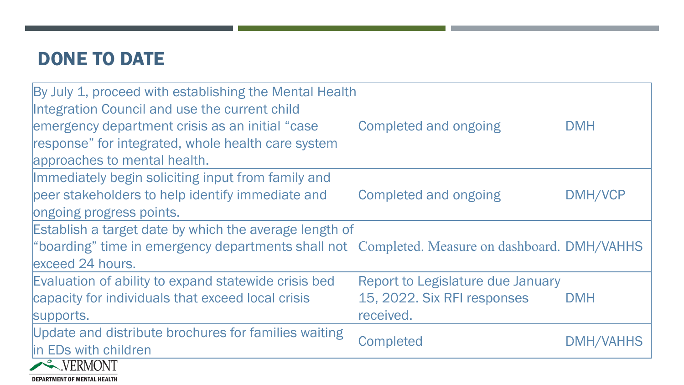### DONE TO DATE

**DEPARTMENT OF MENTAL HEALTH** 

| By July 1, proceed with establishing the Mental Health                                        |                                   |            |
|-----------------------------------------------------------------------------------------------|-----------------------------------|------------|
| Integration Council and use the current child                                                 |                                   |            |
| emergency department crisis as an initial "case"                                              | Completed and ongoing             | <b>DMH</b> |
| response" for integrated, whole health care system                                            |                                   |            |
| approaches to mental health.                                                                  |                                   |            |
| Immediately begin soliciting input from family and                                            |                                   |            |
| peer stakeholders to help identify immediate and                                              | Completed and ongoing             | DMH/VCP    |
| ongoing progress points.                                                                      |                                   |            |
| Establish a target date by which the average length of                                        |                                   |            |
| "boarding" time in emergency departments shall not Completed. Measure on dashboard. DMH/VAHHS |                                   |            |
| lexceed 24 hours.                                                                             |                                   |            |
| Evaluation of ability to expand statewide crisis bed                                          | Report to Legislature due January |            |
| capacity for individuals that exceed local crisis                                             | 15, 2022. Six RFI responses       | <b>DMH</b> |
| supports.                                                                                     | received.                         |            |
| Update and distribute brochures for families waiting                                          |                                   |            |
| in EDs with children                                                                          | <b>Completed</b>                  | DMH/VAHHS  |
| VERMONT                                                                                       |                                   |            |